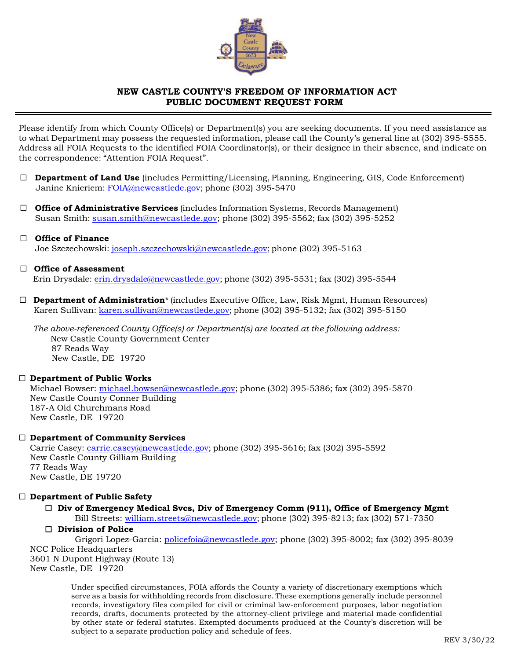

# **NEW CASTLE COUNTY'S FREEDOM OF INFORMATION ACT PUBLIC DOCUMENT REQUEST FORM**

Please identify from which County Office(s) or Department(s) you are seeking documents. If you need assistance as to what Department may possess the requested information, please call the County's general line at (302) 395-5555. Address all FOIA Requests to the identified FOIA Coordinator(s), or their designee in their absence, and indicate on the correspondence: "Attention FOIA Request".

- ☐ **Department of Land Use** (includes Permitting/Licensing, Planning, Engineering, GIS, Code Enforcement) Janine Knieriem: FOIA@newcastlede.gov; phone (302) 395-5470
- ☐ **Office of Administrative Services** (includes Information Systems, Records Management) Susan Smith: susan.smith@newcastlede.gov; phone (302) 395-5562; fax (302) 395-5252

# ☐ **Office of Finance**

# Joe Szczechowski: joseph.szczechowski@newcastlede.gov; phone (302) 395-5163

# ☐ **Office of Assessment**

Erin Drysdale: erin.drysdale@newcastlede.gov; phone (302) 395-5531; fax (302) 395-5544

☐ **Department of Administration**\* (includes Executive Office, Law, Risk Mgmt, Human Resources) Karen Sullivan: karen.sullivan@newcastlede.gov; phone (302) 395-5132; fax (302) 395-5150

*The above-referenced County Office(s) or Department(s) are located at the following address:* New Castle County Government Center 87 Reads Way New Castle, DE 19720

#### ☐ **Department of Public Works**

Michael Bowser: michael.bowser@newcastlede.gov; phone (302) 395-5386; fax (302) 395-5870 New Castle County Conner Building 187-A Old Churchmans Road New Castle, DE 19720

# ☐ **Department of Community Services**

Carrie Casey: carrie.casey@newcastlede.gov; phone (302) 395-5616; fax (302) 395-5592 New Castle County Gilliam Building 77 Reads Way New Castle, DE 19720

# ☐ **Department of Public Safety**

#### ☐ **Div of Emergency Medical Svcs, Div of Emergency Comm (911), Office of Emergency Mgmt**  Bill Streets: william.streets@newcastlede.gov; phone (302) 395-8213; fax (302) 571-7350

☐ **Division of Police** 

Grigori Lopez-Garcia: policefoia@newcastlede.gov; phone (302) 395-8002; fax (302) 395-8039 NCC Police Headquarters 3601 N Dupont Highway (Route 13) New Castle, DE 19720

Under specified circumstances, FOIA affords the County a variety of discretionary exemptions which serve as a basis for withholding records from disclosure. These exemptions generally include personnel records, investigatory files compiled for civil or criminal law-enforcement purposes, labor negotiation records, drafts, documents protected by the attorney-client privilege and material made confidential by other state or federal statutes. Exempted documents produced at the County's discretion will be subject to a separate production policy and schedule of fees.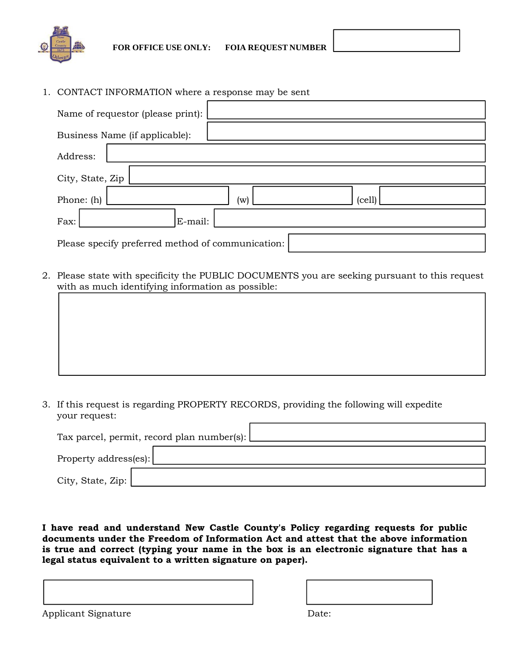

1. CONTACT INFORMATION where a response may be sent

| Name of requestor (please print):                 |                          |  |  |  |  |  |  |  |
|---------------------------------------------------|--------------------------|--|--|--|--|--|--|--|
| Business Name (if applicable):                    |                          |  |  |  |  |  |  |  |
| Address:                                          |                          |  |  |  |  |  |  |  |
| City, State, Zip                                  |                          |  |  |  |  |  |  |  |
| Phone: (h)                                        | (cell)<br>$(\mathrm{w})$ |  |  |  |  |  |  |  |
| E-mail:<br>Fax:                                   |                          |  |  |  |  |  |  |  |
| Please specify preferred method of communication: |                          |  |  |  |  |  |  |  |

2. Please state with specificity the PUBLIC DOCUMENTS you are seeking pursuant to this request with as much identifying information as possible:

3. If this request is regarding PROPERTY RECORDS, providing the following will expedite your request:

| Tax parcel, permit, record plan number(s): |  |  |  |  |  |  |  |
|--------------------------------------------|--|--|--|--|--|--|--|
| Property address(es):                      |  |  |  |  |  |  |  |
| City, State, Zip: $\vert$                  |  |  |  |  |  |  |  |

**I have read and understand New Castle County's Policy regarding requests for public documents under the Freedom of Information Act and attest that the above information is true and correct (typing your name in the box is an electronic signature that has a legal status equivalent to a written signature on paper).** 

Applicant Signature Date: